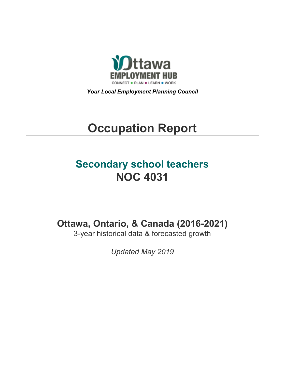

*Your Local Employment Planning Council*

# **Occupation Report**

# **Secondary school teachers NOC 4031**

**Ottawa, Ontario, & Canada (2016-2021)**

3-year historical data & forecasted growth

*Updated May 2019*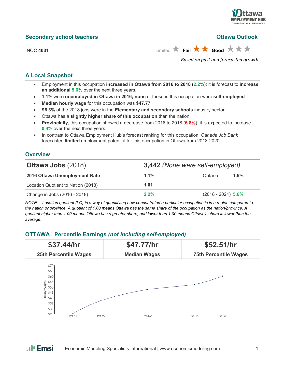

| <b>Secondary school teachers</b> | <b>Ottawa Outlook</b>                                                         |
|----------------------------------|-------------------------------------------------------------------------------|
| <b>NOC 4031</b>                  | Limited $\bigstar$ Fair $\bigstar \bigstar$ Good $\bigstar \bigstar \bigstar$ |
|                                  | Based on past and forecasted growth.                                          |

#### **A Local Snapshot**

- Employment in this occupation **increased in Ottawa from 2016 to 2018** (**2.2%**); it is forecast to **increase an additional 5.6%** over the next three years.
- **1.1%** were **unemployed in Ottawa in 2016; none** of those in this occupation were **self-employed**.
- **Median hourly wage** for this occupation was **\$47.77**.
- **96.3%** of the 2018 jobs were in the **Elementary and secondary schools** industry sector.
- Ottawa has a **slightly higher share of this occupation** than the nation.
- **Provincially**, this occupation showed a decrease from 2016 to 2018 (**6.8%**); it is expected to increase **0.4%** over the next three years.
- In contrast to Ottawa Employment Hub's forecast ranking for this occupation, *Canada Job Bank*  forecasted **limited** employment potential for this occupation in Ottawa from 2018-2020.

#### **Overview**

| <b>Ottawa Jobs (2018)</b>          |         | <b>3,442</b> (None were self-employed) |  |  |
|------------------------------------|---------|----------------------------------------|--|--|
| 2016 Ottawa Unemployment Rate      | $1.1\%$ | 1.5%<br>Ontario                        |  |  |
| Location Quotient to Nation (2018) | 1.01    |                                        |  |  |
| Change in Jobs (2016 - 2018)       | $2.2\%$ | $(2018 - 2021)$ 5.6%                   |  |  |

*NOTE: Location quotient (LQ) is a way of quantifying how concentrated a particular occupation is in a region compared to the nation or province. A quotient of 1.00 means Ottawa has the same share of the occupation as the nation/province. A quotient higher than 1.00 means Ottawa has a greater share, and lower than 1.00 means Ottawa's share is lower than the average.*

### **OTTAWA | Percentile Earnings** *(not including self-employed)*



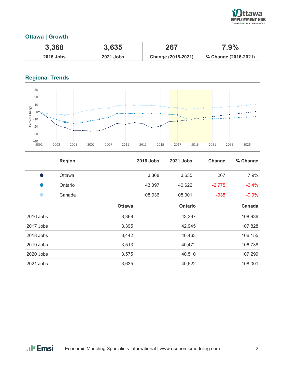

## **Ottawa | Growth**

| 3,368            | 3,635            | 267                | $7.9\%$              |
|------------------|------------------|--------------------|----------------------|
| <b>2016 Jobs</b> | <b>2021 Jobs</b> | Change (2016-2021) | % Change (2016-2021) |

# **Regional Trends**



|             | <b>Region</b> |               | <b>2016 Jobs</b> | <b>2021 Jobs</b> | Change   | % Change |
|-------------|---------------|---------------|------------------|------------------|----------|----------|
| D           | <b>Ottawa</b> |               | 3,368            | 3,635            | 267      | 7.9%     |
|             | Ontario       |               | 43,397           | 40,622           | $-2,775$ | $-6.4%$  |
|             | Canada        |               | 108,936          | 108,001          | $-935$   | $-0.9%$  |
|             |               | <b>Ottawa</b> |                  | <b>Ontario</b>   |          | Canada   |
| $2016$ Jobs |               | 3,368         |                  | 43,397           |          | 108,936  |
| 2017 Jobs   |               | 3,395         |                  | 42,945           |          | 107,828  |
| 2018 Jobs   |               | 3,442         |                  | 40,463           |          | 106,155  |
| 2019 Jobs   |               | 3,513         |                  | 40,472           |          | 106,738  |
| 2020 Jobs   |               | 3,575         |                  | 40,510           |          | 107,299  |
| 2021 Jobs   |               | 3,635         |                  | 40,622           |          | 108,001  |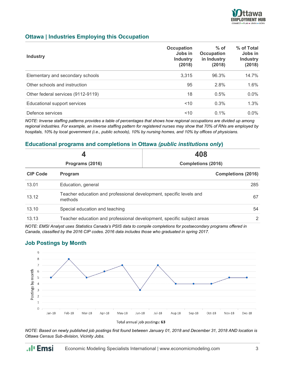

#### **Ottawa | Industries Employing this Occupation**

| <b>Industry</b>                    | Occupation<br>Jobs in<br><b>Industry</b><br>(2018) | $%$ of<br>Occupation<br>in Industry<br>(2018) | % of Total<br>Jobs in<br><b>Industry</b><br>(2018) |
|------------------------------------|----------------------------------------------------|-----------------------------------------------|----------------------------------------------------|
| Elementary and secondary schools   | 3,315                                              | 96.3%                                         | 14.7%                                              |
| Other schools and instruction      | 95                                                 | 2.8%                                          | 1.6%                                               |
| Other federal services (9112-9119) | 18                                                 | 0.5%                                          | $0.0\%$                                            |
| Educational support services       | ~10                                                | 0.3%                                          | 1.3%                                               |
| Defence services                   | 10                                                 | $0.1\%$                                       | $0.0\%$                                            |

*NOTE: Inverse staffing patterns provides a table of percentages that shows how regional occupations are divided up among regional industries. For example, an inverse staffing pattern for registered nurses may show that 70% of RNs are employed by hospitals, 10% by local government (i.e., public schools), 10% by nursing homes, and 10% by offices of physicians.*

#### **Educational programs and completions in Ottawa** *(public institutions only***)**

| Programs (2016) |                                                                                | 408<br><b>Completions (2016)</b> |  |
|-----------------|--------------------------------------------------------------------------------|----------------------------------|--|
|                 |                                                                                |                                  |  |
| 13.01           | Education, general                                                             | 285                              |  |
| 13.12           | Teacher education and professional development, specific levels and<br>methods | 67                               |  |
| 13.10           | Special education and teaching                                                 | 54                               |  |
| 13.13           | Teacher education and professional development, specific subject areas         | 2                                |  |

*NOTE: EMSI Analyst uses Statistics Canada's PSIS data to compile completions for postsecondary programs offered in Canada, classified by the 2016 CIP codes. 2016 data includes those who graduated in spring 2017.*

#### **Job Postings by Month**

.**.**I<sub>I</sub> Emsi





*NOTE: Based on newly published job postings first found between January 01, 2018 and December 31, 2018 AND location is Ottawa Census Sub-division, Vicinity Jobs.*